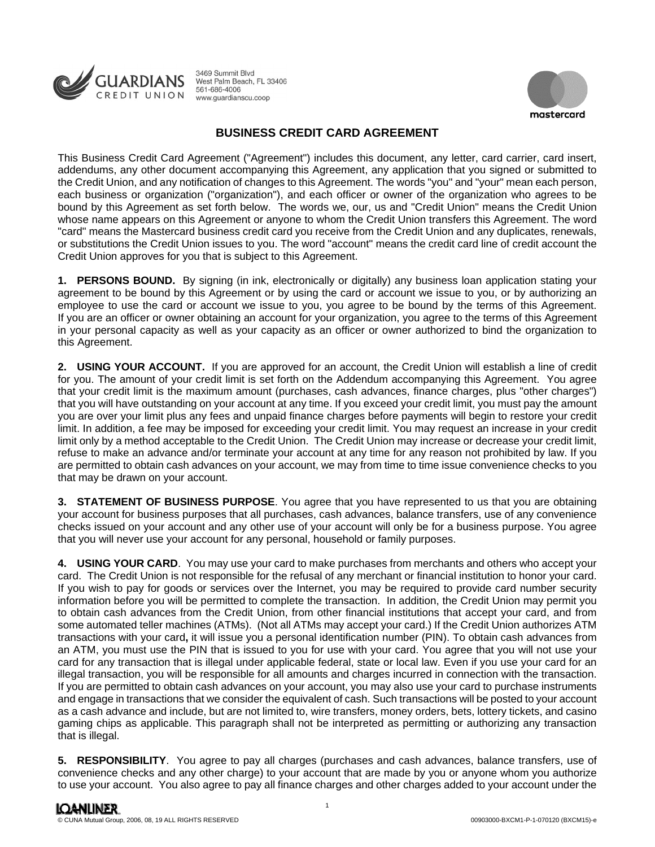



## **BUSINESS CREDIT CARD AGREEMENT**

This Business Credit Card Agreement ("Agreement") includes this document, any letter, card carrier, card insert, addendums, any other document accompanying this Agreement, any application that you signed or submitted to the Credit Union, and any notification of changes to this Agreement. The words "you" and "your" mean each person, each business or organization ("organization"), and each officer or owner of the organization who agrees to be bound by this Agreement as set forth below. The words we, our, us and "Credit Union" means the Credit Union whose name appears on this Agreement or anyone to whom the Credit Union transfers this Agreement. The word "card" means the Mastercard business credit card you receive from the Credit Union and any duplicates, renewals, or substitutions the Credit Union issues to you. The word "account" means the credit card line of credit account the Credit Union approves for you that is subject to this Agreement.

**1. PERSONS BOUND.** By signing (in ink, electronically or digitally) any business loan application stating your agreement to be bound by this Agreement or by using the card or account we issue to you, or by authorizing an employee to use the card or account we issue to you, you agree to be bound by the terms of this Agreement. If you are an officer or owner obtaining an account for your organization, you agree to the terms of this Agreement in your personal capacity as well as your capacity as an officer or owner authorized to bind the organization to this Agreement.

**2. USING YOUR ACCOUNT.** If you are approved for an account, the Credit Union will establish a line of credit for you. The amount of your credit limit is set forth on the Addendum accompanying this Agreement. You agree that your credit limit is the maximum amount (purchases, cash advances, finance charges, plus "other charges") that you will have outstanding on your account at any time. If you exceed your credit limit, you must pay the amount you are over your limit plus any fees and unpaid finance charges before payments will begin to restore your credit limit. In addition, a fee may be imposed for exceeding your credit limit. You may request an increase in your credit limit only by a method acceptable to the Credit Union. The Credit Union may increase or decrease your credit limit, refuse to make an advance and/or terminate your account at any time for any reason not prohibited by law. If you are permitted to obtain cash advances on your account, we may from time to time issue convenience checks to you that may be drawn on your account.

**3. STATEMENT OF BUSINESS PURPOSE**. You agree that you have represented to us that you are obtaining your account for business purposes that all purchases, cash advances, balance transfers, use of any convenience checks issued on your account and any other use of your account will only be for a business purpose. You agree that you will never use your account for any personal, household or family purposes.

**4. USING YOUR CARD**. You may use your card to make purchases from merchants and others who accept your card. The Credit Union is not responsible for the refusal of any merchant or financial institution to honor your card. If you wish to pay for goods or services over the Internet, you may be required to provide card number security information before you will be permitted to complete the transaction. In addition, the Credit Union may permit you to obtain cash advances from the Credit Union, from other financial institutions that accept your card, and from some automated teller machines (ATMs). (Not all ATMs may accept your card.) If the Credit Union authorizes ATM transactions with your card**,** it will issue you a personal identification number (PIN). To obtain cash advances from an ATM, you must use the PIN that is issued to you for use with your card. You agree that you will not use your card for any transaction that is illegal under applicable federal, state or local law. Even if you use your card for an illegal transaction, you will be responsible for all amounts and charges incurred in connection with the transaction. If you are permitted to obtain cash advances on your account, you may also use your card to purchase instruments and engage in transactions that we consider the equivalent of cash. Such transactions will be posted to your account as a cash advance and include, but are not limited to, wire transfers, money orders, bets, lottery tickets, and casino gaming chips as applicable. This paragraph shall not be interpreted as permitting or authorizing any transaction that is illegal.

**5. RESPONSIBILITY**. You agree to pay all charges (purchases and cash advances, balance transfers, use of convenience checks and any other charge) to your account that are made by you or anyone whom you authorize to use your account. You also agree to pay all finance charges and other charges added to your account under the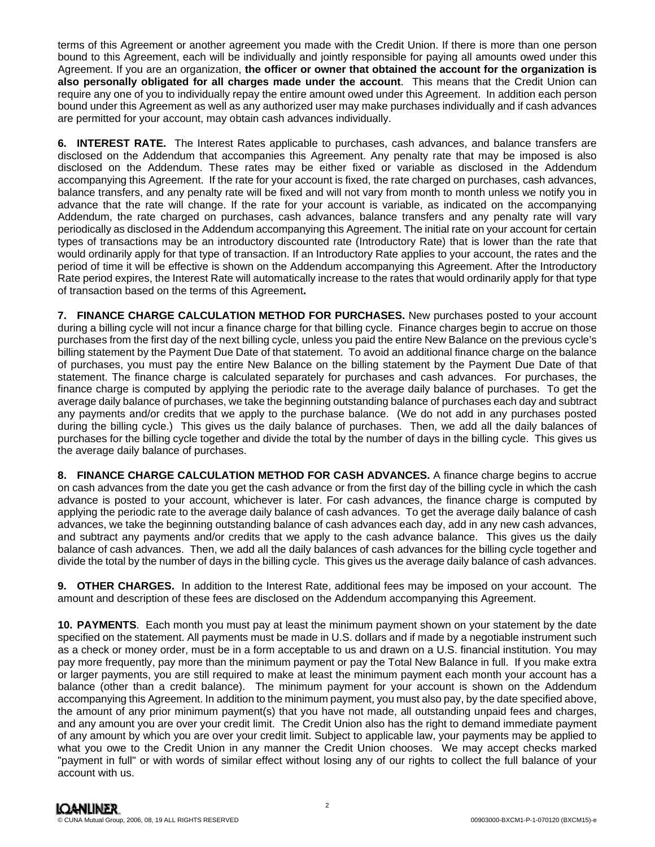terms of this Agreement or another agreement you made with the Credit Union. If there is more than one person bound to this Agreement, each will be individually and jointly responsible for paying all amounts owed under this Agreement. If you are an organization, **the officer or owner that obtained the account for the organization is also personally obligated for all charges made under the account**. This means that the Credit Union can require any one of you to individually repay the entire amount owed under this Agreement. In addition each person bound under this Agreement as well as any authorized user may make purchases individually and if cash advances are permitted for your account, may obtain cash advances individually.

**6. INTEREST RATE.** The Interest Rates applicable to purchases, cash advances, and balance transfers are disclosed on the Addendum that accompanies this Agreement. Any penalty rate that may be imposed is also disclosed on the Addendum. These rates may be either fixed or variable as disclosed in the Addendum accompanying this Agreement. If the rate for your account is fixed, the rate charged on purchases, cash advances, balance transfers, and any penalty rate will be fixed and will not vary from month to month unless we notify you in advance that the rate will change. If the rate for your account is variable, as indicated on the accompanying Addendum, the rate charged on purchases, cash advances, balance transfers and any penalty rate will vary periodically as disclosed in the Addendum accompanying this Agreement. The initial rate on your account for certain types of transactions may be an introductory discounted rate (Introductory Rate) that is lower than the rate that would ordinarily apply for that type of transaction. If an Introductory Rate applies to your account, the rates and the period of time it will be effective is shown on the Addendum accompanying this Agreement. After the Introductory Rate period expires, the Interest Rate will automatically increase to the rates that would ordinarily apply for that type of transaction based on the terms of this Agreement**.** 

**7. FINANCE CHARGE CALCULATION METHOD FOR PURCHASES.** New purchases posted to your account during a billing cycle will not incur a finance charge for that billing cycle. Finance charges begin to accrue on those purchases from the first day of the next billing cycle, unless you paid the entire New Balance on the previous cycle's billing statement by the Payment Due Date of that statement. To avoid an additional finance charge on the balance of purchases, you must pay the entire New Balance on the billing statement by the Payment Due Date of that statement. The finance charge is calculated separately for purchases and cash advances. For purchases, the finance charge is computed by applying the periodic rate to the average daily balance of purchases. To get the average daily balance of purchases, we take the beginning outstanding balance of purchases each day and subtract any payments and/or credits that we apply to the purchase balance. (We do not add in any purchases posted during the billing cycle.) This gives us the daily balance of purchases. Then, we add all the daily balances of purchases for the billing cycle together and divide the total by the number of days in the billing cycle. This gives us the average daily balance of purchases.

**8. FINANCE CHARGE CALCULATION METHOD FOR CASH ADVANCES.** A finance charge begins to accrue on cash advances from the date you get the cash advance or from the first day of the billing cycle in which the cash advance is posted to your account, whichever is later. For cash advances, the finance charge is computed by applying the periodic rate to the average daily balance of cash advances. To get the average daily balance of cash advances, we take the beginning outstanding balance of cash advances each day, add in any new cash advances, and subtract any payments and/or credits that we apply to the cash advance balance. This gives us the daily balance of cash advances. Then, we add all the daily balances of cash advances for the billing cycle together and divide the total by the number of days in the billing cycle. This gives us the average daily balance of cash advances.

**9. OTHER CHARGES.** In addition to the Interest Rate, additional fees may be imposed on your account. The amount and description of these fees are disclosed on the Addendum accompanying this Agreement.

**10. PAYMENTS**. Each month you must pay at least the minimum payment shown on your statement by the date specified on the statement. All payments must be made in U.S. dollars and if made by a negotiable instrument such as a check or money order, must be in a form acceptable to us and drawn on a U.S. financial institution. You may pay more frequently, pay more than the minimum payment or pay the Total New Balance in full. If you make extra or larger payments, you are still required to make at least the minimum payment each month your account has a balance (other than a credit balance). The minimum payment for your account is shown on the Addendum accompanying this Agreement. In addition to the minimum payment, you must also pay, by the date specified above, the amount of any prior minimum payment(s) that you have not made, all outstanding unpaid fees and charges, and any amount you are over your credit limit. The Credit Union also has the right to demand immediate payment of any amount by which you are over your credit limit. Subject to applicable law, your payments may be applied to what you owe to the Credit Union in any manner the Credit Union chooses. We may accept checks marked "payment in full" or with words of similar effect without losing any of our rights to collect the full balance of your account with us.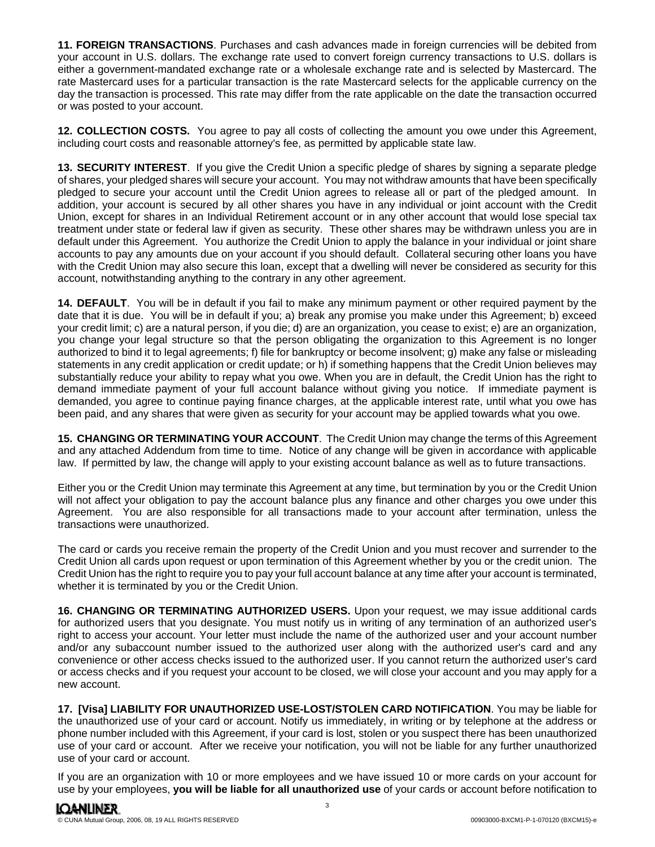**11. FOREIGN TRANSACTIONS**. Purchases and cash advances made in foreign currencies will be debited from your account in U.S. dollars. The exchange rate used to convert foreign currency transactions to U.S. dollars is either a government-mandated exchange rate or a wholesale exchange rate and is selected by Mastercard. The rate Mastercard uses for a particular transaction is the rate Mastercard selects for the applicable currency on the day the transaction is processed. This rate may differ from the rate applicable on the date the transaction occurred or was posted to your account.

**12. COLLECTION COSTS.** You agree to pay all costs of collecting the amount you owe under this Agreement, including court costs and reasonable attorney's fee, as permitted by applicable state law.

 account, notwithstanding anything to the contrary in any other agreement. **13. SECURITY INTEREST**. If you give the Credit Union a specific pledge of shares by signing a separate pledge of shares, your pledged shares will secure your account. You may not withdraw amounts that have been specifically pledged to secure your account until the Credit Union agrees to release all or part of the pledged amount. In addition, your account is secured by all other shares you have in any individual or joint account with the Credit Union, except for shares in an Individual Retirement account or in any other account that would lose special tax treatment under state or federal law if given as security. These other shares may be withdrawn unless you are in default under this Agreement. You authorize the Credit Union to apply the balance in your individual or joint share accounts to pay any amounts due on your account if you should default. Collateral securing other loans you have with the Credit Union may also secure this loan, except that a dwelling will never be considered as security for this

**14. DEFAULT**. You will be in default if you fail to make any minimum payment or other required payment by the date that it is due. You will be in default if you; a) break any promise you make under this Agreement; b) exceed your credit limit; c) are a natural person, if you die; d) are an organization, you cease to exist; e) are an organization, you change your legal structure so that the person obligating the organization to this Agreement is no longer authorized to bind it to legal agreements; f) file for bankruptcy or become insolvent; g) make any false or misleading statements in any credit application or credit update; or h) if something happens that the Credit Union believes may substantially reduce your ability to repay what you owe. When you are in default, the Credit Union has the right to demand immediate payment of your full account balance without giving you notice. If immediate payment is demanded, you agree to continue paying finance charges, at the applicable interest rate, until what you owe has been paid, and any shares that were given as security for your account may be applied towards what you owe.

**15. CHANGING OR TERMINATING YOUR ACCOUNT**. The Credit Union may change the terms of this Agreement and any attached Addendum from time to time. Notice of any change will be given in accordance with applicable law. If permitted by law, the change will apply to your existing account balance as well as to future transactions.

Either you or the Credit Union may terminate this Agreement at any time, but termination by you or the Credit Union will not affect your obligation to pay the account balance plus any finance and other charges you owe under this Agreement. You are also responsible for all transactions made to your account after termination, unless the transactions were unauthorized.

The card or cards you receive remain the property of the Credit Union and you must recover and surrender to the Credit Union all cards upon request or upon termination of this Agreement whether by you or the credit union. The Credit Union has the right to require you to pay your full account balance at any time after your account is terminated, whether it is terminated by you or the Credit Union.

for authorized users that you designate. You must notify us in writing of any termination of an authorized user's **16. CHANGING OR TERMINATING AUTHORIZED USERS.** Upon your request, we may issue additional cards right to access your account. Your letter must include the name of the authorized user and your account number and/or any subaccount number issued to the authorized user along with the authorized user's card and any convenience or other access checks issued to the authorized user. If you cannot return the authorized user's card or access checks and if you request your account to be closed, we will close your account and you may apply for a new account.

**17. [Visa] LIABILITY FOR UNAUTHORIZED USE-LOST/STOLEN CARD NOTIFICATION**. You may be liable for the unauthorized use of your card or account. Notify us immediately, in writing or by telephone at the address or phone number included with this Agreement, if your card is lost, stolen or you suspect there has been unauthorized use of your card or account. After we receive your notification, you will not be liable for any further unauthorized use of your card or account.

If you are an organization with 10 or more employees and we have issued 10 or more cards on your account for use by your employees, **you will be liable for all unauthorized use** of your cards or account before notification to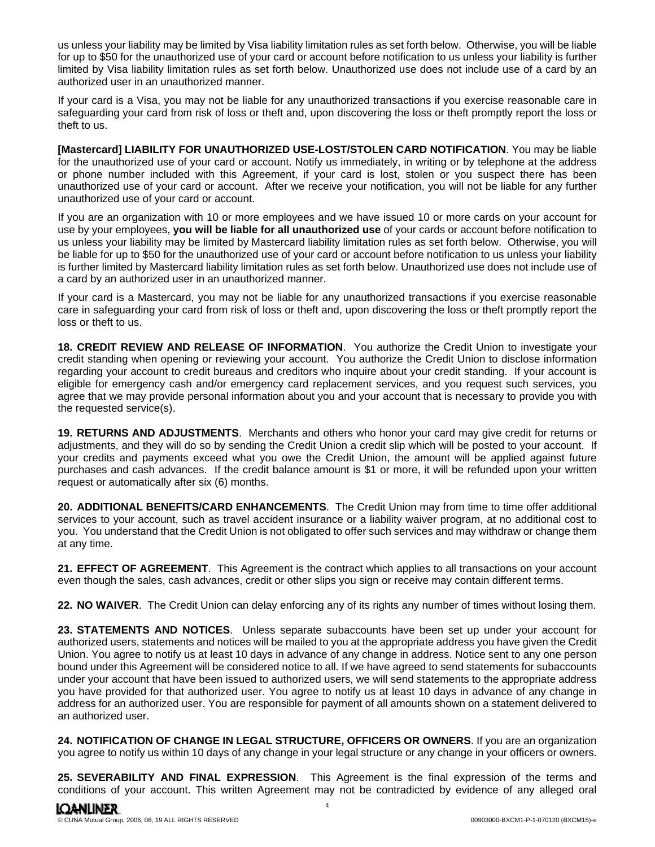us unless your liability may be limited by Visa liability limitation rules as set forth below. Otherwise, you will be liable for up to \$50 for the unauthorized use of your card or account before notification to us unless your liability is further limited by Visa liability limitation rules as set forth below. Unauthorized use does not include use of a card by an authorized user in an unauthorized manner.

If your card is a Visa, you may not be liable for any unauthorized transactions if you exercise reasonable care in safeguarding your card from risk of loss or theft and, upon discovering the loss or theft promptly report the loss or theft to us.

**[Mastercard] LIABILITY FOR UNAUTHORIZED USE-LOST/STOLEN CARD NOTIFICATION**. You may be liable for the unauthorized use of your card or account. Notify us immediately, in writing or by telephone at the address or phone number included with this Agreement, if your card is lost, stolen or you suspect there has been unauthorized use of your card or account. After we receive your notification, you will not be liable for any further unauthorized use of your card or account.

If you are an organization with 10 or more employees and we have issued 10 or more cards on your account for use by your employees, **you will be liable for all unauthorized use** of your cards or account before notification to us unless your liability may be limited by Mastercard liability limitation rules as set forth below. Otherwise, you will be liable for up to \$50 for the unauthorized use of your card or account before notification to us unless your liability is further limited by Mastercard liability limitation rules as set forth below. Unauthorized use does not include use of a card by an authorized user in an unauthorized manner.

If your card is a Mastercard, you may not be liable for any unauthorized transactions if you exercise reasonable care in safeguarding your card from risk of loss or theft and, upon discovering the loss or theft promptly report the loss or theft to us.

**18. CREDIT REVIEW AND RELEASE OF INFORMATION**. You authorize the Credit Union to investigate your credit standing when opening or reviewing your account. You authorize the Credit Union to disclose information regarding your account to credit bureaus and creditors who inquire about your credit standing. If your account is eligible for emergency cash and/or emergency card replacement services, and you request such services, you agree that we may provide personal information about you and your account that is necessary to provide you with the requested service(s).

**19. RETURNS AND ADJUSTMENTS**. Merchants and others who honor your card may give credit for returns or adjustments, and they will do so by sending the Credit Union a credit slip which will be posted to your account. If your credits and payments exceed what you owe the Credit Union, the amount will be applied against future purchases and cash advances. If the credit balance amount is \$1 or more, it will be refunded upon your written request or automatically after six (6) months.

**20. ADDITIONAL BENEFITS/CARD ENHANCEMENTS**. The Credit Union may from time to time offer additional services to your account, such as travel accident insurance or a liability waiver program, at no additional cost to you. You understand that the Credit Union is not obligated to offer such services and may withdraw or change them at any time.

**21. EFFECT OF AGREEMENT**. This Agreement is the contract which applies to all transactions on your account even though the sales, cash advances, credit or other slips you sign or receive may contain different terms.

**22. NO WAIVER**. The Credit Union can delay enforcing any of its rights any number of times without losing them.

**23. STATEMENTS AND NOTICES**. Unless separate subaccounts have been set up under your account for authorized users, statements and notices will be mailed to you at the appropriate address you have given the Credit Union. You agree to notify us at least 10 days in advance of any change in address. Notice sent to any one person bound under this Agreement will be considered notice to all. If we have agreed to send statements for subaccounts under your account that have been issued to authorized users, we will send statements to the appropriate address you have provided for that authorized user. You agree to notify us at least 10 days in advance of any change in address for an authorized user. You are responsible for payment of all amounts shown on a statement delivered to an authorized user.

 you agree to notify us within 10 days of any change in your legal structure or any change in your officers or owners. **24. NOTIFICATION OF CHANGE IN LEGAL STRUCTURE, OFFICERS OR OWNERS**. If you are an organization

**25. SEVERABILITY AND FINAL EXPRESSION**. This Agreement is the final expression of the terms and conditions of your account. This written Agreement may not be contradicted by evidence of any alleged oral